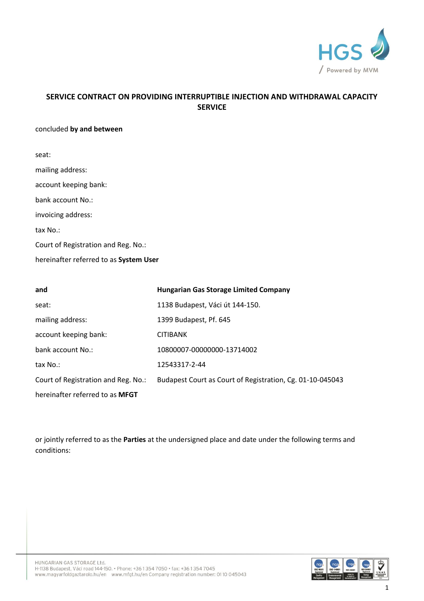

# **SERVICE CONTRACT ON PROVIDING INTERRUPTIBLE INJECTION AND WITHDRAWAL CAPACITY SERVICE**

### concluded **by and between**

| seat:                                  |
|----------------------------------------|
| mailing address:                       |
| account keeping bank:                  |
| bank account No.:                      |
| invoicing address:                     |
| $\text{tax No.}:$                      |
| Court of Registration and Reg. No.:    |
| hereinafter referred to as System User |

| and                                 | <b>Hungarian Gas Storage Limited Company</b>              |
|-------------------------------------|-----------------------------------------------------------|
| seat:                               | 1138 Budapest, Váci út 144-150.                           |
| mailing address:                    | 1399 Budapest, Pf. 645                                    |
| account keeping bank:               | <b>CITIBANK</b>                                           |
| bank account No.:                   | 10800007-00000000-13714002                                |
| tax No.:                            | 12543317-2-44                                             |
| Court of Registration and Reg. No.: | Budapest Court as Court of Registration, Cg. 01-10-045043 |
| hereinafter referred to as MFGT     |                                                           |

or jointly referred to as the **Parties** at the undersigned place and date under the following terms and conditions:

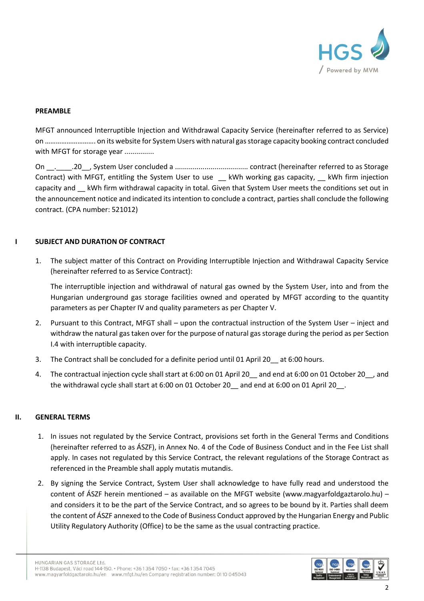

#### **PREAMBLE**

MFGT announced Interruptible Injection and Withdrawal Capacity Service (hereinafter referred to as Service) on ………………………. on its website for System Users with natural gas storage capacity booking contract concluded with MFGT for storage year ...............

On \_\_.\_\_\_\_.20\_\_, System User concluded a ..................................... contract (hereinafter referred to as Storage Contract) with MFGT, entitling the System User to use Let who working gas capacity, Let KWh firm injection capacity and \_\_ kWh firm withdrawal capacity in total. Given that System User meets the conditions set out in the announcement notice and indicated its intention to conclude a contract, parties shall conclude the following contract. (CPA number: 521012)

### **I SUBJECT AND DURATION OF CONTRACT**

1. The subject matter of this Contract on Providing Interruptible Injection and Withdrawal Capacity Service (hereinafter referred to as Service Contract):

The interruptible injection and withdrawal of natural gas owned by the System User, into and from the Hungarian underground gas storage facilities owned and operated by MFGT according to the quantity parameters as per Chapter IV and quality parameters as per Chapter V.

- 2. Pursuant to this Contract, MFGT shall upon the contractual instruction of the System User inject and withdraw the natural gas taken over for the purpose of natural gas storage during the period as per Section I.4 with interruptible capacity.
- 3. The Contract shall be concluded for a definite period until 01 April 20\_\_ at 6:00 hours.
- 4. The contractual injection cycle shall start at 6:00 on 01 April 20\_\_ and end at 6:00 on 01 October 20\_\_, and the withdrawal cycle shall start at 6:00 on 01 October 20 \_ and end at 6:00 on 01 April 20 \_ .

#### **II. GENERAL TERMS**

- 1. In issues not regulated by the Service Contract, provisions set forth in the General Terms and Conditions (hereinafter referred to as ÁSZF), in Annex No. 4 of the Code of Business Conduct and in the Fee List shall apply. In cases not regulated by this Service Contract, the relevant regulations of the Storage Contract as referenced in the Preamble shall apply mutatis mutandis.
- 2. By signing the Service Contract, System User shall acknowledge to have fully read and understood the content of ÁSZF herein mentioned – as available on the MFGT website [\(www.magyarfoldgaztarolo.hu\)](http://www.eon-foldgaz-storage.com/) – and considers it to be the part of the Service Contract, and so agrees to be bound by it. Parties shall deem the content of ÁSZF annexed to the Code of Business Conduct approved by the Hungarian Energy and Public Utility Regulatory Authority (Office) to be the same as the usual contracting practice.

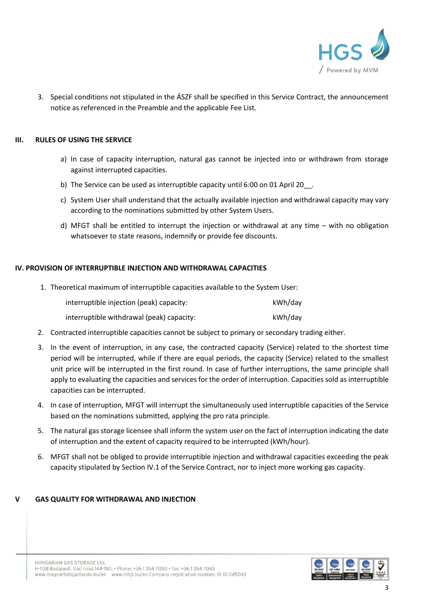

3. Special conditions not stipulated in the ÁSZF shall be specified in this Service Contract, the announcement notice as referenced in the Preamble and the applicable Fee List.

### **III. RULES OF USING THE SERVICE**

- a) In case of capacity interruption, natural gas cannot be injected into or withdrawn from storage against interrupted capacities.
- b) The Service can be used as interruptible capacity until 6:00 on 01 April 20\_\_.
- c) System User shall understand that the actually available injection and withdrawal capacity may vary according to the nominations submitted by other System Users.
- d) MFGT shall be entitled to interrupt the injection or withdrawal at any time with no obligation whatsoever to state reasons, indemnify or provide fee discounts.

## **IV. PROVISION OF INTERRUPTIBLE INJECTION AND WITHDRAWAL CAPACITIES**

1. Theoretical maximum of interruptible capacities available to the System User:

| interruptible injection (peak) capacity:  | kWh/day |
|-------------------------------------------|---------|
| interruptible withdrawal (peak) capacity: | kWh/day |

- 2. Contracted interruptible capacities cannot be subject to primary or secondary trading either.
- 3. In the event of interruption, in any case, the contracted capacity (Service) related to the shortest time period will be interrupted, while if there are equal periods, the capacity (Service) related to the smallest unit price will be interrupted in the first round. In case of further interruptions, the same principle shall apply to evaluating the capacities and services for the order of interruption. Capacities sold as interruptible capacities can be interrupted.
- 4. In case of interruption, MFGT will interrupt the simultaneously used interruptible capacities of the Service based on the nominations submitted, applying the pro rata principle.
- 5. The natural gas storage licensee shall inform the system user on the fact of interruption indicating the date of interruption and the extent of capacity required to be interrupted (kWh/hour).
- 6. MFGT shall not be obliged to provide interruptible injection and withdrawal capacities exceeding the peak capacity stipulated by Section IV.1 of the Service Contract, nor to inject more working gas capacity.

#### **GAS QUALITY FOR WITHDRAWAL AND INJECTION**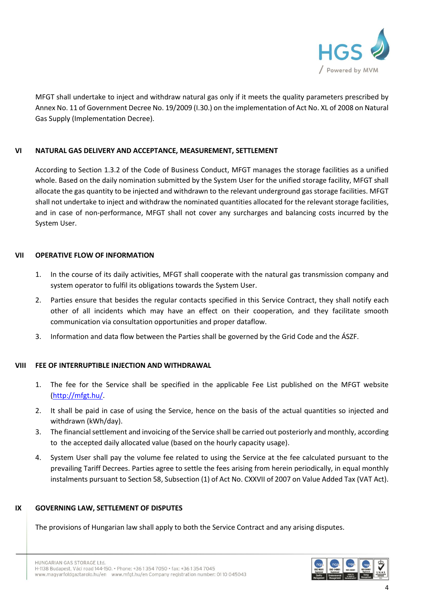

MFGT shall undertake to inject and withdraw natural gas only if it meets the quality parameters prescribed by Annex No. 11 of Government Decree No. 19/2009 (I.30.) on the implementation of Act No. XL of 2008 on Natural Gas Supply (Implementation Decree).

## **VI NATURAL GAS DELIVERY AND ACCEPTANCE, MEASUREMENT, SETTLEMENT**

According to Section 1.3.2 of the Code of Business Conduct, MFGT manages the storage facilities as a unified whole. Based on the daily nomination submitted by the System User for the unified storage facility, MFGT shall allocate the gas quantity to be injected and withdrawn to the relevant underground gas storage facilities. MFGT shall not undertake to inject and withdraw the nominated quantities allocated for the relevant storage facilities, and in case of non-performance, MFGT shall not cover any surcharges and balancing costs incurred by the System User.

#### **VII OPERATIVE FLOW OF INFORMATION**

- 1. In the course of its daily activities, MFGT shall cooperate with the natural gas transmission company and system operator to fulfil its obligations towards the System User.
- 2. Parties ensure that besides the regular contacts specified in this Service Contract, they shall notify each other of all incidents which may have an effect on their cooperation, and they facilitate smooth communication via consultation opportunities and proper dataflow.
- 3. Information and data flow between the Parties shall be governed by the Grid Code and the ÁSZF.

## **VIII FEE OF INTERRUPTIBLE INJECTION AND WITHDRAWAL**

- 1. The fee for the Service shall be specified in the applicable Fee List published on the MFGT website [\(http://mfgt.hu/.](http://mfgt.hu/)
- 2. It shall be paid in case of using the Service, hence on the basis of the actual quantities so injected and withdrawn (kWh/day).
- 3. The financial settlement and invoicing of the Service shall be carried out posteriorly and monthly, according to the accepted daily allocated value (based on the hourly capacity usage).
- 4. System User shall pay the volume fee related to using the Service at the fee calculated pursuant to the prevailing Tariff Decrees. Parties agree to settle the fees arising from herein periodically, in equal monthly instalments pursuant to Section 58, Subsection (1) of Act No. CXXVII of 2007 on Value Added Tax (VAT Act).

#### **IX GOVERNING LAW, SETTLEMENT OF DISPUTES**

The provisions of Hungarian law shall apply to both the Service Contract and any arising disputes.